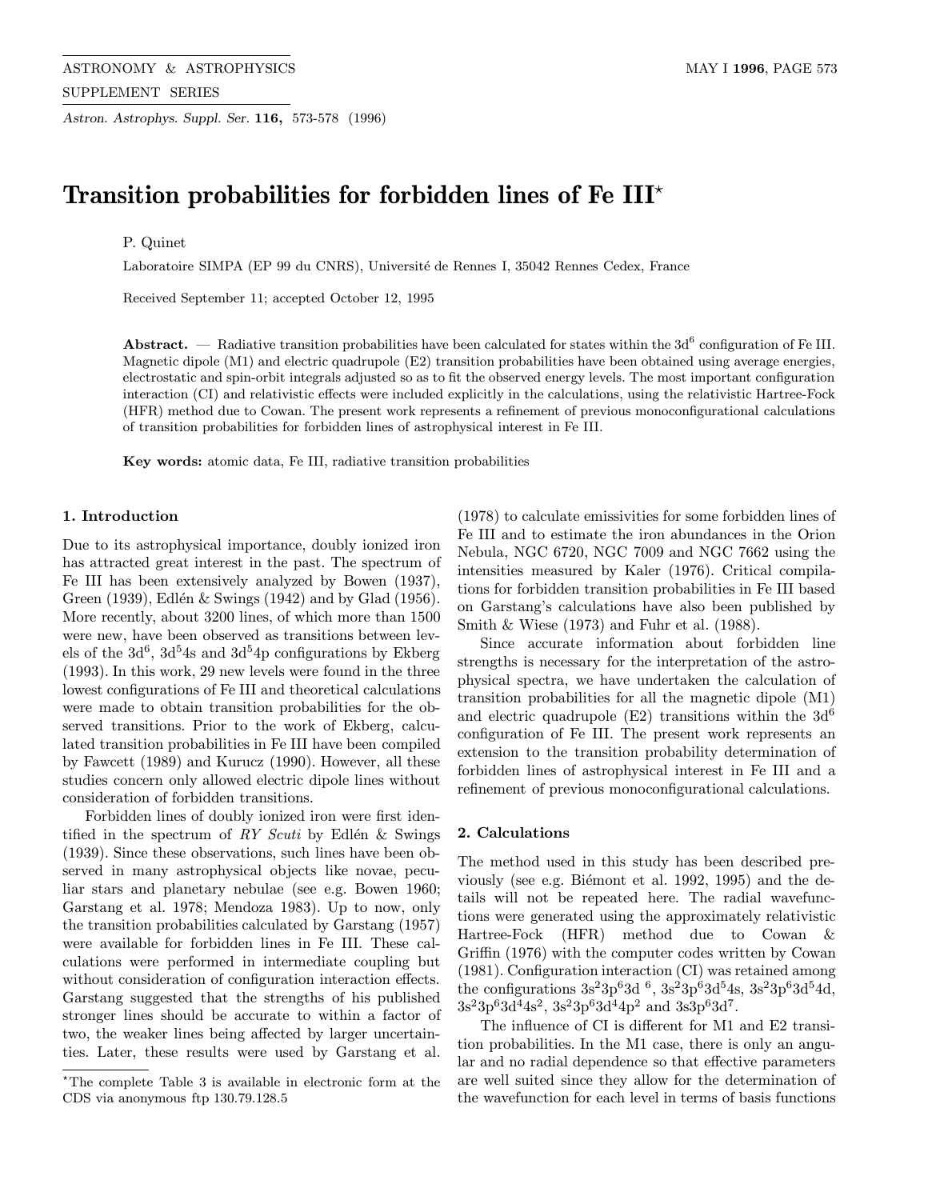Astron. Astrophys. Suppl. Ser. 116, 573-578 (1996)

# Transition probabilities for forbidden lines of Fe III<sup>\*</sup>

# P. Quinet

Laboratoire SIMPA (EP 99 du CNRS), Université de Rennes I, 35042 Rennes Cedex, France

Received September 11; accepted October 12, 1995

**Abstract.** — Radiative transition probabilities have been calculated for states within the 3d<sup>6</sup> configuration of Fe III. Magnetic dipole (M1) and electric quadrupole (E2) transition probabilities have been obtained using average energies, electrostatic and spin-orbit integrals adjusted so as to fit the observed energy levels. The most important configuration interaction (CI) and relativistic effects were included explicitly in the calculations, using the relativistic Hartree-Fock (HFR) method due to Cowan. The present work represents a refinement of previous monoconfigurational calculations of transition probabilities for forbidden lines of astrophysical interest in Fe III.

Key words: atomic data, Fe III, radiative transition probabilities

## 1. Introduction

Due to its astrophysical importance, doubly ionized iron has attracted great interest in the past. The spectrum of Fe III has been extensively analyzed by Bowen (1937), Green (1939), Edlén & Swings (1942) and by Glad (1956). More recently, about 3200 lines, of which more than 1500 were new, have been observed as transitions between levels of the  $3d^6$ ,  $3d^54s$  and  $3d^54p$  configurations by Ekberg (1993). In this work, 29 new levels were found in the three lowest configurations of Fe III and theoretical calculations were made to obtain transition probabilities for the observed transitions. Prior to the work of Ekberg, calculated transition probabilities in Fe III have been compiled by Fawcett (1989) and Kurucz (1990). However, all these studies concern only allowed electric dipole lines without consideration of forbidden transitions.

Forbidden lines of doubly ionized iron were first identified in the spectrum of RY Scuti by Edlén & Swings (1939). Since these observations, such lines have been observed in many astrophysical objects like novae, peculiar stars and planetary nebulae (see e.g. Bowen 1960; Garstang et al. 1978; Mendoza 1983). Up to now, only the transition probabilities calculated by Garstang (1957) were available for forbidden lines in Fe III. These calculations were performed in intermediate coupling but without consideration of configuration interaction effects. Garstang suggested that the strengths of his published stronger lines should be accurate to within a factor of two, the weaker lines being affected by larger uncertainties. Later, these results were used by Garstang et al. (1978) to calculate emissivities for some forbidden lines of Fe III and to estimate the iron abundances in the Orion Nebula, NGC 6720, NGC 7009 and NGC 7662 using the intensities measured by Kaler (1976). Critical compilations for forbidden transition probabilities in Fe III based on Garstang's calculations have also been published by Smith & Wiese (1973) and Fuhr et al. (1988).

Since accurate information about forbidden line strengths is necessary for the interpretation of the astrophysical spectra, we have undertaken the calculation of transition probabilities for all the magnetic dipole (M1) and electric quadrupole  $(E2)$  transitions within the  $3d^{6}$ configuration of Fe III. The present work represents an extension to the transition probability determination of forbidden lines of astrophysical interest in Fe III and a refinement of previous monoconfigurational calculations.

#### 2. Calculations

The method used in this study has been described previously (see e.g. Biemont et al. 1992, 1995) and the details will not be repeated here. The radial wavefunctions were generated using the approximately relativistic Hartree-Fock (HFR) method due to Cowan & Griffin (1976) with the computer codes written by Cowan (1981). Configuration interaction (CI) was retained among the configurations  $3s^23p^63d^6$ ,  $3s^23p^63d^54s$ ,  $3s^23p^63d^54d$ ,  $3s^23p^63d^44s^2$ ,  $3s^23p^63d^44p^2$  and  $3s3p^63d^7$ .

The influence of CI is different for M1 and E2 transition probabilities. In the M1 case, there is only an angular and no radial dependence so that effective parameters are well suited since they allow for the determination of the wavefunction for each level in terms of basis functions

 $*$ The complete Table 3 is available in electronic form at the CDS via anonymous ftp 130.79.128.5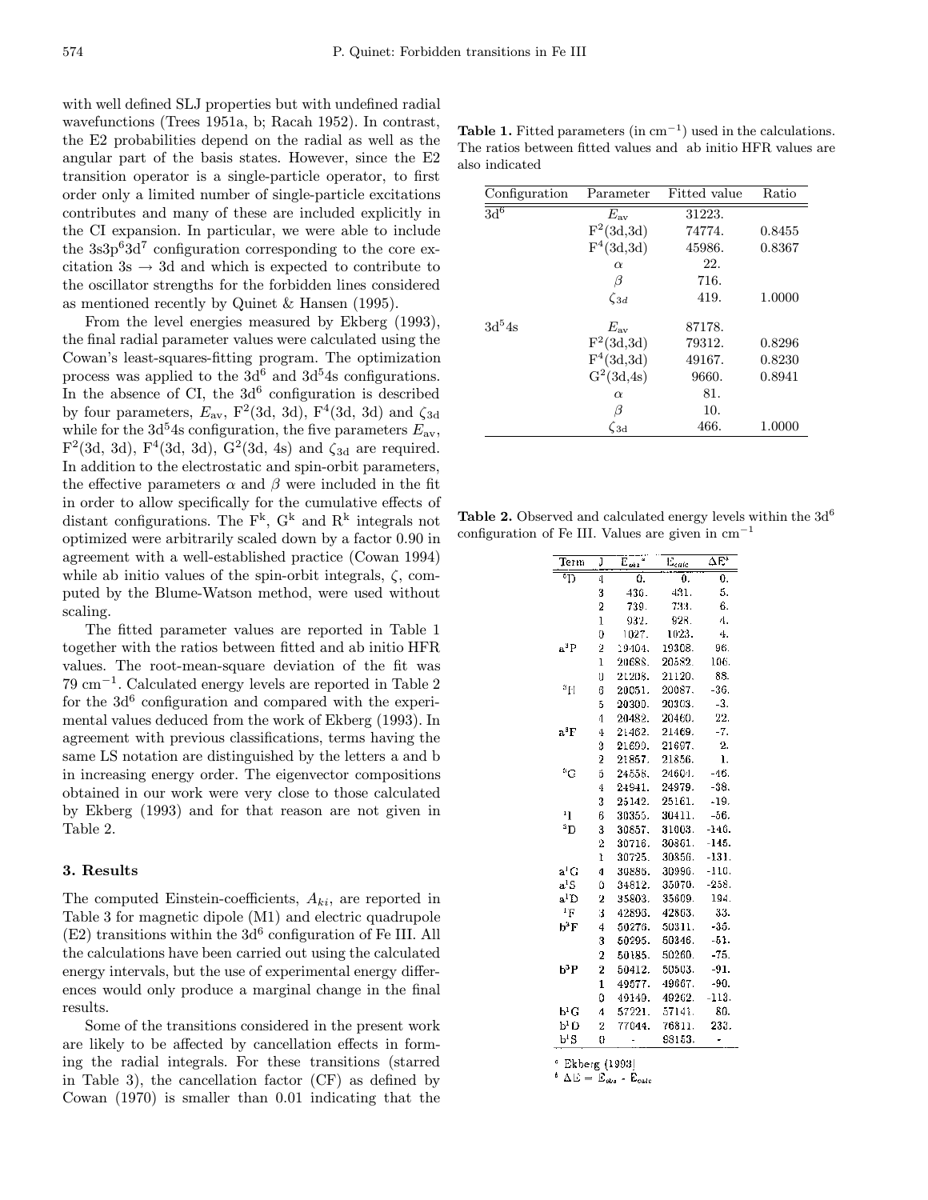with well defined SLJ properties but with undefined radial wavefunctions (Trees 1951a, b; Racah 1952). In contrast, the E2 probabilities depend on the radial as well as the angular part of the basis states. However, since the E2 transition operator is a single-particle operator, to first order only a limited number of single-particle excitations contributes and many of these are included explicitly in the CI expansion. In particular, we were able to include the  $3s3p<sup>6</sup>3d<sup>7</sup>$  configuration corresponding to the core excitation  $3s \rightarrow 3d$  and which is expected to contribute to the oscillator strengths for the forbidden lines considered as mentioned recently by Quinet & Hansen (1995).

From the level energies measured by Ekberg (1993), the final radial parameter values were calculated using the Cowan's least-squares-fitting program. The optimization process was applied to the  $3d^6$  and  $3d^5$ 4s configurations. In the absence of CI, the  $3d^6$  configuration is described by four parameters,  $E_{\text{av}}$ ,  $F^2(3d, 3d)$ ,  $F^4(3d, 3d)$  and  $\zeta_{3d}$ while for the 3d<sup>5</sup>4s configuration, the five parameters  $E_{av}$ ,  $F^2(3d, 3d)$ ,  $F^4(3d, 3d)$ ,  $G^2(3d, 4s)$  and  $\zeta_{3d}$  are required. In addition to the electrostatic and spin-orbit parameters, the effective parameters  $\alpha$  and  $\beta$  were included in the fit in order to allow specifically for the cumulative effects of distant configurations. The  $F^k$ ,  $G^k$  and  $R^k$  integrals not optimized were arbitrarily scaled down by a factor 0.90 in agreement with a well-established practice (Cowan 1994) while ab initio values of the spin-orbit integrals,  $\zeta$ , computed by the Blume-Watson method, were used without scaling.

The fitted parameter values are reported in Table 1 together with the ratios between fitted and ab initio HFR values. The root-mean-square deviation of the fit was 79 cm−<sup>1</sup>. Calculated energy levels are reported in Table 2 for the  $3d^6$  configuration and compared with the experimental values deduced from the work of Ekberg (1993). In agreement with previous classifications, terms having the same LS notation are distinguished by the letters a and b in increasing energy order. The eigenvector compositions obtained in our work were very close to those calculated by Ekberg (1993) and for that reason are not given in Table 2.

#### 3. Results

The computed Einstein-coefficients,  $A_{ki}$ , are reported in Table 3 for magnetic dipole (M1) and electric quadrupole  $(E2)$  transitions within the  $3d^6$  configuration of Fe III. All the calculations have been carried out using the calculated energy intervals, but the use of experimental energy differences would only produce a marginal change in the final results.

Some of the transitions considered in the present work are likely to be affected by cancellation effects in forming the radial integrals. For these transitions (starred in Table 3), the cancellation factor (CF) as defined by Cowan (1970) is smaller than 0.01 indicating that the

Table 1. Fitted parameters (in  $cm^{-1}$ ) used in the calculations. The ratios between fitted values and ab initio HFR values are also indicated

| Configuration      | Parameter          | Fitted value | Ratio  |
|--------------------|--------------------|--------------|--------|
| 3d <sup>6</sup>    | $E_{\rm av}$       | 31223.       |        |
|                    | $F^2(3d,3d)$       | 74774.       | 0.8455 |
|                    | $F^4(3d,3d)$       | 45986.       | 0.8367 |
|                    | $\alpha$           | 22.          |        |
|                    | β                  | 716.         |        |
|                    | $\zeta_{3d}$       | 419.         | 1.0000 |
| 3d <sup>5</sup> 4s |                    |              |        |
|                    | $E_{\rm av}$       | 87178.       |        |
|                    | $F^2(3d,3d)$       | 79312.       | 0.8296 |
|                    | $F^4(3d,3d)$       | 49167.       | 0.8230 |
|                    | $G^2(3d, 4s)$      | 9660.        | 0.8941 |
|                    | $\alpha$           | 81.          |        |
|                    | β                  | 10.          |        |
|                    | $\zeta_{3{\rm d}}$ | 466.         | 1.0000 |

**Table 2.** Observed and calculated energy levels within the  $3d^6$ configuration of Fe III. Values are given in  $cm^{-1}$ 

| Term                     | J              | Ē.,    | $\mathbf{\bar{E}}_{calc}$ | ΔË      |
|--------------------------|----------------|--------|---------------------------|---------|
| $\overline{5}$           | 4              | ٥.     | 0.                        | 0.      |
|                          | 3              | 436.   | 431.                      | 5.      |
|                          | 2              | 739.   | 733.                      | 6.      |
|                          | $\overline{1}$ | 932.   | 928.                      | 4.      |
|                          | Ö              | 1027.  | 1023.                     | 4.      |
| aªP                      | 2              | 19404. | 19308.                    | 96.     |
|                          | $\overline{1}$ | 20688. | 20582.                    | 106.    |
|                          | Ò              | 21208. | 21120.                    | 88.     |
| ₫H                       | 6              | 20051. | 20087.                    | $-36.$  |
|                          | 5              | 20300. | 20303.                    | $-3.$   |
|                          | 4              | 20482. | 20460.                    | 22.     |
| aªF                      | 4              | 21462. | 21469.                    | $-7.$   |
|                          | 3              | 21699. | 21697.                    | 2.      |
|                          | 2              | 21857. | 21856.                    | ı.      |
| <sup>3</sup> G           | 5              | 24558. | 24604.                    | $-46.$  |
|                          | 4              | 24941. | 24979.                    | $-38.$  |
|                          | 3              | 25142. | 25161.                    | $-19.$  |
| $\mathbf{1}$             | 6              | 30355. | 30411.                    | $-56.$  |
| <sup>3</sup> D           | 3              | 30857. | 31003.                    | $-146.$ |
|                          | $\overline{2}$ | 30716. | 30361.                    | -145.   |
|                          | ľ              | 30725. | 30856.                    | -131.   |
| а <sup>1</sup> С         | 4              | 30886. | 30996.                    | $-110.$ |
| $a^1S$                   | Ű              | 34812. | 35070.                    | $-258.$ |
| $\mathtt{a}^1\mathtt{D}$ | 2              | 35803. | 35609.                    | 194.    |
| ΙF                       | ä,             | 42896. | 42863.                    | 33.     |
| Ь <sup>3</sup> Е         | 4              | 50276. | 50311.                    | $-35.$  |
|                          | 3              | 50295. | 50346.                    | -51.    |
|                          | $\overline{2}$ | 50185. | 50260.                    | $-75.$  |
| b3P                      | $\overline{2}$ | 50412. | 50503.                    | $-91.$  |
|                          | 1              | 49577. | 49667.                    | -90.    |
|                          | 0              | 49149. | 49262.                    | $-113.$ |
| $\mathsf{b}^1\mathrm{G}$ | 4              | 57221. | 57141.                    | 80.     |
| ЬPО                      | $\overline{2}$ | 77044. | 76811.                    | 233.    |
| ЪʻS                      | Ō              |        | 98153.                    | -       |

<sup>a</sup> Ekberg (1993)

 $b \Delta E = E_{obs} - E_{calc}$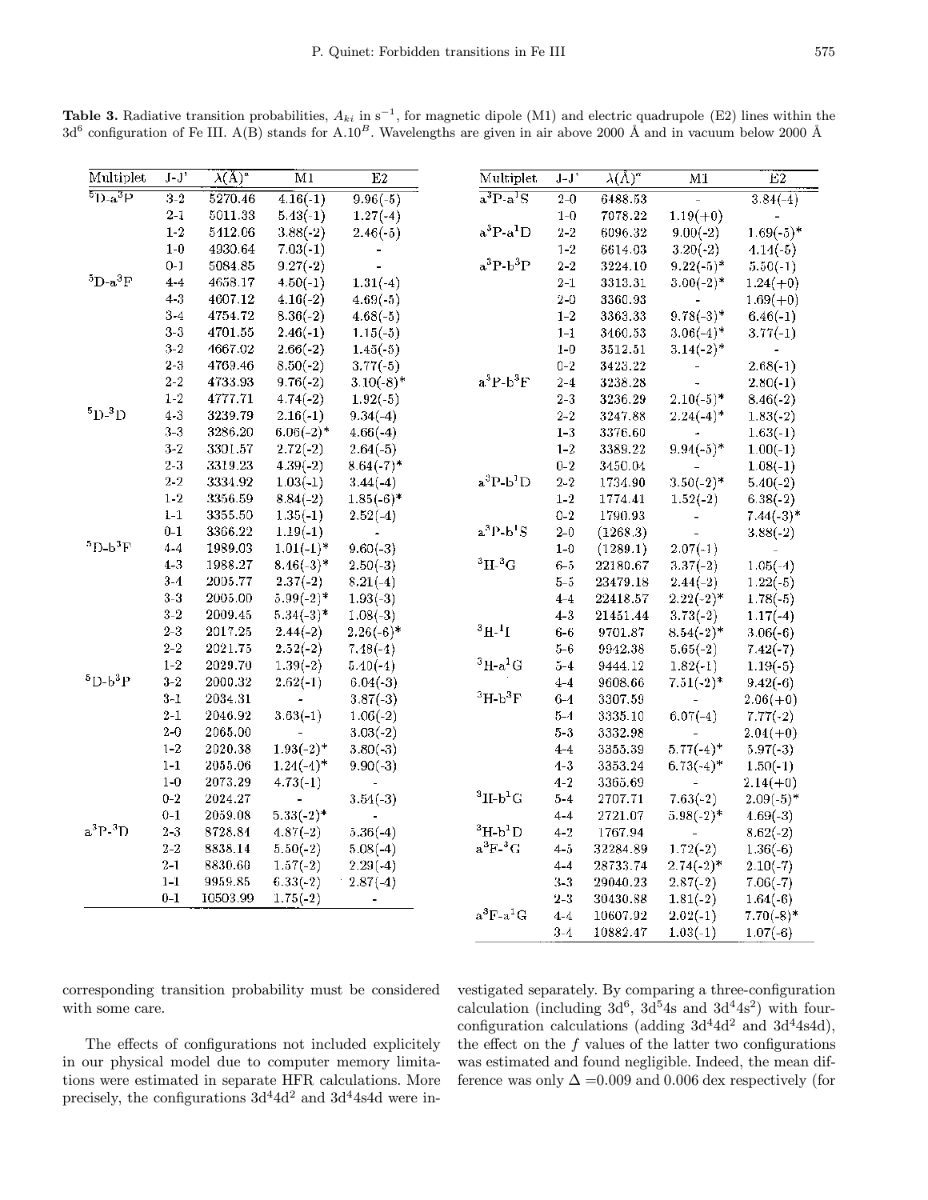| Multiplet                 | $J-J'$        | $\overline{\lambda(\mathrm{A})^{\alpha}}$ | $\overline{\mathrm{M1}}$ | E2           | Multiplet                      | $J-J'$           | $\lambda(\tilde{\Lambda})^a$ | M1                      | $\overline{E2}$ |
|---------------------------|---------------|-------------------------------------------|--------------------------|--------------|--------------------------------|------------------|------------------------------|-------------------------|-----------------|
| $\overline{^{5}D-a^{3}P}$ | $3-2$         | 5270.46                                   | $4.16(-1)$               | $9.96(-5)$   | $a^3P-a^1S$                    | $2 - 0$          | 6488.53                      |                         | $3.84(-4)$      |
|                           | $2 - 1$       | 5011.33                                   | $5.43(-1)$               | $1.27(-4)$   |                                | $1 - 0$          | 7078.22                      | $1.19(+0)$              |                 |
|                           | $1 - 2$       | 5412.06                                   | $3.88(-2)$               | $2.46(-5)$   | $a^3P-a^1D$                    | $2\mbox{-}2$     | 6096.32                      | $9.00(-2)$              | $1.69(-5)$ *    |
|                           | $1-0$         | 4930.64                                   | $7.03(-1)$               |              |                                | $1 - 2$          | 6614.03                      | $3.20(-2)$              | $4.14(-5)$      |
|                           | $0 - 1$       | 5084.85                                   | $9.27(-2)$               |              | $a^3P-b^3P$                    | $2\,\hbox{-}\,2$ | 3224.10                      | $9.22(-5)$ *            | $5.50(-1)$      |
| ${}^5D-a{}^3F$            | $4 - 4$       | 4658.17                                   | $4.50(-1)$               | $1.31(-4)$   |                                | $2-1$            | 3313.31                      | $3.00(-2)$ <sup>*</sup> | $1.24(+0)$      |
|                           | $4 - 3$       | 4607.12                                   | $4.16(-2)$               | $4.69(-5)$   |                                | $2 - 0$          | 3360.93                      |                         | $1.69(+0)$      |
|                           | $3 - 4$       | 4754.72                                   | $8.36(-2)$               | $4.68(-5)$   |                                | $1-2$            | 3363.33                      | $9.78(-3)*$             | $6.46(-1)$      |
|                           | $3-3$         | 4701.55                                   | $2.46(-1)$               | $1.15(-5)$   |                                | $1-1$            | 3460.53                      | $3.06(-4)$ *            | $3.77(-1)$      |
|                           | $3\hbox{-}2$  | 4667.02                                   | $2.66(-2)$               | $1.45(-5)$   |                                | $1-0$            | 3512.51                      | $3.14(-2)^*$            |                 |
|                           | $2-3$         | 4769.46                                   | $8.50(-2)$               | $3.77(-5)$   |                                | $0 - 2$          | 3423.22                      |                         | $2.68(-1)$      |
|                           | $2 - 2$       | 4733.93                                   | $9.76(-2)$               | $3.10(-8)$ * | $a^3P-b^3F$                    | $2 - 4$          | 3238.28                      |                         | $2.80(-1)$      |
|                           | $1 - 2$       | 4777.71                                   | $4.74(-2)$               | $1.92(-5)$   |                                | $2 - 3$          | 3236.29                      | $2.10(-5)$ *            | $8.46(-2)$      |
| $5D-3D$                   | $4 - 3$       | 3239.79                                   | $2.16(-1)$               | $9.34(-4)$   |                                | $2 - 2$          | 3247.88                      | $2.24(-4)$ *            | $1.83(-2)$      |
|                           | $3 - 3$       | 3286.20                                   | $6.06(-2)$ *             | $4.66(-4)$   |                                | $1 - 3$          | 3376.60                      |                         | $1.63(-1)$      |
|                           | $3 - 2$       | 3301.57                                   | $2.72(-2)$               | $2.64(-5)$   |                                | $1 - 2$          | 3389.22                      | $9.94(-5)$ *            | $1.00(-1)$      |
|                           | $2 - 3$       | 3319.23                                   | $4.39(-2)$               | $8.64(-7)$ * |                                | $0 - 2$          | 3450.04                      |                         | $1.08(-1)$      |
|                           | $2\hbox{-} 2$ | 3334.92                                   | $1.03(-1)$               | $3.44(-4)$   | $a^3P-b^1D$                    | $2 - 2$          | 1734.90                      | $3.50(-2)*$             | $5.40(-2)$      |
|                           | $1\hbox{-} 2$ | 3356.59                                   | $8.84(-2)$               | $1.85(-6)^*$ |                                | $1\mbox{-}2$     | 1774.41                      | $1.52(-2)$              | $6.38(-2)$      |
|                           | $1 - 1$       | 3355.50                                   | $1.35(-1)$               | $2.52(-4)$   |                                | $0 - 2$          | 1790.93                      |                         | $7.44(-3)*$     |
|                           | $0-1$         | 3366.22                                   | $1.19(-1)$               |              | $a^3P-b^1S$                    | $2 - 0$          | (1268.3)                     | $\bar{\phantom{a}}$     | $3.88(-2)$      |
| ${}^{5}D - b {}^{3}F$     | $4 - 4$       | 1989.03                                   | $1.01(-1)^*$             | $9.60(-3)$   |                                | $1 - 0$          | (1289.1)                     | $2.07(-1)$              |                 |
|                           | $4 - 3$       | 1988.27                                   | $8.46(-3)*$              | $2.50(-3)$   | $\rm ^3H\text{-}^3G$           | $6 - 5$          | 22180.67                     | $3.37(-2)$              | $1.05(-4)$      |
|                           | $3-4$         | 2005.77                                   | $2.37(-2)$               | $8.21(-4)$   |                                | $5 - 5$          | 23479.18                     | $2.44(-2)$              | $1.22(-5)$      |
|                           | $3-3$         | 2005.00                                   | $5.99(-2)$ *             | $1.93(-3)$   |                                | $4 - 4$          | 22418.57                     | $2.22(-2)^*$            | $1.78(-5)$      |
|                           | $3-2\,$       | 2009.45                                   | $5.34(-3)*$              | $1.08(-3)$   |                                | $4 - 3$          | 21451.44                     | $3.73(-2)$              | $1.17(-4)$      |
|                           | $2 - 3$       | 2017.25                                   | $2.44(-2)$               | $2.26(-6)*$  | $^{3}H - ^{1}I$                | $6-6$            | 9701.87                      | $8.54(-2)$ *            | $3.06(-6)$      |
|                           | $2\hbox{--}2$ | 2021.75                                   | $2.52(-2)$               | $7.48(-4)$   |                                | $5 - 6$          | 9942.38                      | $5.65(-2)$              | $7.42(-7)$      |
|                           | $1 - 2$       | 2029.70                                   | $1.39(-2)$               | $5.40(-4)$   | $3H-a^1G$                      | $5 - 4$          | 9444.12                      | $1.82(-1)$              | $1.19(-5)$      |
| ${}^5D-b{}^3P$            | $3 - 2$       | 2000.32                                   | $2.62(-1)$               | $6.04(-3)$   |                                | $4 - 4$          | 9608.66                      | $7.51(-2)^*$            | $9.42(-6)$      |
|                           | $3 - 1$       | 2034.31                                   |                          | $3.87(-3)$   | $\mathrm{^{3}H\text{-}b^{3}F}$ | $6-4$            | 3307.59                      |                         | $2.06(+0)$      |
|                           | $2 - 1$       | 2046.92                                   | $3.63(-1)$               | $1.06(-2)$   |                                | $5 - 4$          | 3335.10                      | $6.07(-4)$              | $7.77(-2)$      |
|                           | $2 - 0$       | 2065.00                                   |                          | $3.03(-2)$   |                                | $5 - 3$          | 3332.98                      |                         | $2.04(+0)$      |
|                           | $1 - 2$       | 2020.38                                   | $1.93(-2)*$              | $3.80(-3)$   |                                | $4 - 4$          | 3355.39                      | $5.77(-4)$ *            | $5.97(-3)$      |
|                           | $1 - 1$       | 2055.06                                   | $1.24(-1)$ *             | $9.90(-3)$   |                                | $1 - 3$          | 3353.24                      | $6.73(-4)$ *            | $1.50(-1)$      |
|                           | $1 - 0$       | 2073.29                                   | $4.73(-1)$               |              |                                | $4 - 2$          | 3365.69                      |                         | $2.14(+0)$      |
|                           | $0 - 2$       | 2024.27                                   |                          | $3.54(-3)$   | $3$ II-b <sup>1</sup> G        | $5 - 4$          | 2707.71                      | $7.63(-2)$              | $2.09(-5)$ *    |
|                           | $0 - 1$       | 2059.08                                   | $5.33(-2)^*$             |              |                                | $4 - 4$          | 2721.07                      | $5.98(-2)$ *            | $4.69(-3)$      |
| $a^3P-3D$                 | $2-3$         | 8728.84                                   | $4.87(-2)$               | $5.36(-4)$   | ${}^3H$ -b <sup>1</sup> D      | $4 - 2$          | 1767.94                      |                         | $8.62(-2)$      |
|                           | $2 - 2$       | 8838.14                                   | $5.50(-2)$               | $5.08(-4)$   | $a^3F^{-3}G$                   | $4 - 5$          | 32284.89                     | $1.72(-2)$              | $1.36(-6)$      |
|                           | $2 - 1$       | 8830.60                                   | $1.57(-2)$               | $2.29(-4)$   |                                | $4 - 4$          | 28733.74                     | $2.74(-2)*$             | $2.10(-7)$      |
|                           | $1-1$         | 9959.85                                   | $6.33(-2)$               | $2.87(-4)$   |                                | $3-3$            | 29040.23                     | $2.87(-2)$              | $7.06(-7)$      |
|                           | $0-1$         | 10503.99                                  | $1.75(-2)$               |              |                                | $2 - 3$          | 30430.88                     | $1.81(-2)$              | $1.64(-6)$      |
|                           |               |                                           |                          |              | $a^3F-a^1G$                    | $4 - 4$          | 10607.92                     | $2.02(-1)$              | $7.70(-8)$ *    |
|                           |               |                                           |                          |              |                                | $3 - 4$          | 10882.47                     | $1.03(-1)$              | $1.07(-6)$      |

Table 3. Radiative transition probabilities,  $A_{ki}$  in s<sup>-1</sup>, for magnetic dipole (M1) and electric quadrupole (E2) lines within the  $3d^6$  configuration of Fe III. A(B) stands for A.10<sup>B</sup>. Wavelengths are given in air above 2000 Å and in vacuum below 2000 Å

corresponding transition probability must be considered with some care.

vestigated separately. By comparing a three-configuration calculation (including  $3d^6$ ,  $3d^54s$  and  $3d^44s^2$ ) with fourconfiguration calculations (adding  $3d^4 4d^2$  and  $3d^4 4s 4d$ ), the effect on the f values of the latter two configurations was estimated and found negligible. Indeed, the mean difference was only  $\Delta = 0.009$  and 0.006 dex respectively (for

The effects of configurations not included explicitely in our physical model due to computer memory limitations were estimated in separate HFR calculations. More precisely, the configurations  $3d^4 4d^2$  and  $3d^4 4s 4d$  were in-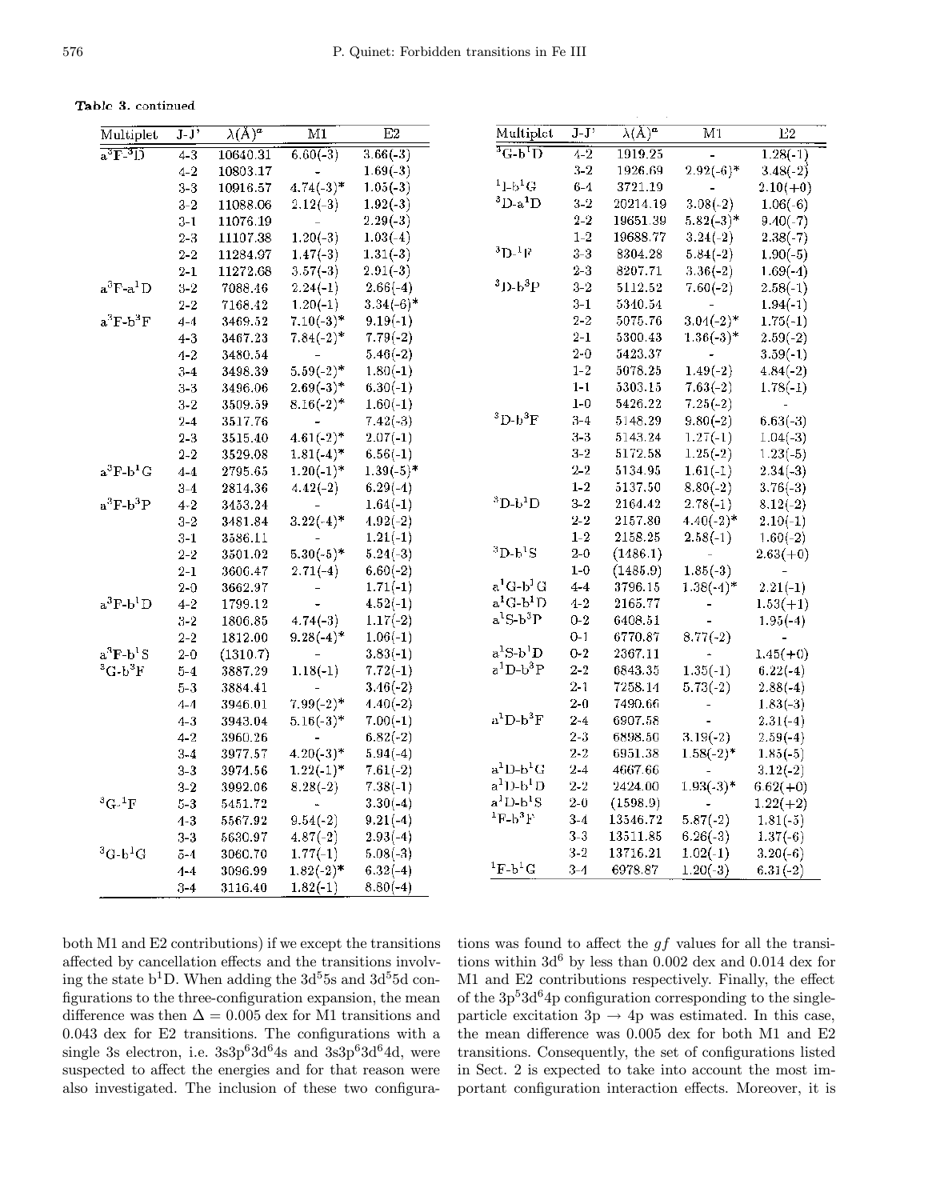Table 3. continued

| Multiplet                    | $\overline{J}$ . $\overline{J}$ | $\overline{\lambda(A)^a}$ | $\overline{M1}$ | $\overline{E2}$ | Multiplet                     | $J-J'$          | $\lambda(A)^{\alpha}$ | $\overline{M1}$          | E2         |
|------------------------------|---------------------------------|---------------------------|-----------------|-----------------|-------------------------------|-----------------|-----------------------|--------------------------|------------|
| $a^3\overline{F^3D}$         | $4 - 3$                         | 10640.31                  | $6.60(-3)$      | $3.66(-3)$      | $\overline{{}^3\text{G-b}}$ D | $\frac{1}{4-2}$ | 1919.25               |                          | $1.28(-1)$ |
|                              | $4 - 2$                         | 10803.17                  |                 | $1.69(-3)$      |                               | $3 - 2$         | 1926.69               | $2.92(-6)*$              | $3.48(-2)$ |
|                              | $3-3$                           | 10916.57                  | $4.74(-3)*$     | $1.05(-3)$      | $11-b1G$                      | $6 - 4$         | 3721.19               |                          | $2.10(+0)$ |
|                              | $3-2$                           | 11088.06                  | $2.12(-3)$      | $1.92(-3)$      | ${}^3D$ -a ${}^1D$            | $3\hbox{-}2$    | 20214.19              | $3.08(-2)$               | $1.06(-6)$ |
|                              | $3 - 1$                         | 11076.19                  |                 | $2.29(-3)$      |                               | $2\hbox{-}2$    | 19651.39              | $5.82(-3)*$              | $9.40(-7)$ |
|                              | $2 - 3$                         | 11107.38                  | $1.20(-3)$      | $1.03(-4)$      |                               | $1-2$           | 19688.77              | $3.24(-2)$               | $2.38(-7)$ |
|                              | $2\hbox{-} 2$                   | 11284.97                  | $1.47(-3)$      | $1.31(-3)$      | ${}^{3}D_{-}{}^{1}F$          | $3-3$           | 8304.28               | $5.84(-2)$               | $1.90(-5)$ |
|                              | $2\mbox{-}1$                    | 11272.68                  | $3.57(-3)$      | $2.91(-3)$      |                               | $2-3$           | 8207.71               | $3.36(-2)$               | $1.69(-4)$ |
| $a^3F-a^1D$                  | $3\hbox{-} 2$                   | 7088.46                   | $2.24(-1)$      | $2.66(-4)$      | $3D-b3P$                      | $3-2$           | 5112.52               | $7.60(-2)$               | $2.58(-1)$ |
|                              | $2\hbox{--}2$                   | 7168.42                   | $1.20(-1)$      | $3.34(-6)$ *    |                               | $3-1$           | 5340.54               |                          | $1.94(-1)$ |
| $a^3F-b^3F$                  | $4 - 4$                         | 3469.52                   | $7.10(-3)*$     | $9.19(-1)$      |                               | $2 - 2$         | 5075.76               | $3.04(-2)*$              | $1.75(-1)$ |
|                              | $4 - 3$                         | 3467.23                   | $7.84(-2)^*$    | $7.79(-2)$      |                               | $2 - 1$         | 5300.43               | $1.36(-3)*$              | $2.59(-2)$ |
|                              | $4 - 2$                         | 3480.54                   |                 | $5.46(-2)$      |                               | $2 - 0$         | 5423.37               |                          | $3.59(-1)$ |
|                              | $3-4$                           | 3498.39                   | $5.59(-2)$ *    | $1.80(-1)$      |                               | $1 - 2$         | 5078.25               | $1.49(-2)$               | $4.84(-2)$ |
|                              | $3-3$                           | 3496.06                   | $2.69(-3)*$     | $6.30(-1)$      |                               | $1 - 1$         | 5303.15               | $7.63(-2)$               | $1.78(-1)$ |
|                              | $3-2$                           | 3509.59                   | $8.16(-2)$ *    | $1.60(-1)$      |                               | $1-0$           | 5426.22               | $7.25(-2)$               |            |
|                              | $2 - 4$                         | 3517.76                   |                 | $7.42(-3)$      | ${}^{3}D-b{}^{3}F$            | $3 - 4$         | 5148.29               | $9.80(-2)$               | $6.63(-3)$ |
|                              | $2 - 3$                         | 3515.40                   | $4.61(-2)*$     | $2.07(-1)$      |                               | $3-3$           | 5143.24               | $1.27(-1)$               | $1.04(-3)$ |
|                              | $2 - 2$                         | 3529.08                   | $1.81(-4)$ *    | $6.56(-1)$      |                               | $3-2$           | 5172.58               | $1.25(-2)$               | $1.23(-5)$ |
| $a^3F-b^1G$                  | $4 - 4$                         | 2795.65                   | $1.20(-1)*$     | $1.39(-5)$ *    |                               | $2 - 2$         | 5134.95               | $1.61(-1)$               | $2.34(-3)$ |
|                              | $3-4$                           | 2814.36                   | $4.42(-2)$      | $6.29(-4)$      |                               | $1 - 2$         | 5137.50               | $8.80(-2)$               | $3.76(-3)$ |
| $a^3F-b^3P$                  | $4 - 2$                         | 3453.24                   |                 | $1.64(-1)$      | ${}^{3}D-b{}^{1}D$            | $3-2$           | 2164.42               | $2.78(-1)$               | $8.12(-2)$ |
|                              | $3-2$                           | 3481.84                   | $3.22(-4)$ *    | $4.92(-2)$      |                               | $2\!\cdot\!2$   | 2157.80               | $4.40(-2)*$              | $2.10(-1)$ |
|                              | $3 - 1$                         | 3586.11                   |                 | $1.21(-1)$      |                               | $1 - 2$         | 2158.25               | $2.58(-1)$               | $1.60(-2)$ |
|                              | $2 - 2$                         | 3501.02                   | $5.30(-5)$ *    | $5.24(-3)$      | ${}^{3}D-b{}^{1}S$            | $2-0$           | (1486.1)              |                          | $2.63(+0)$ |
|                              | $2 - 1$                         | 3606.47                   | $2.71(-4)$      | $6.60(-2)$      |                               | $1-0$           | (1485.9)              | $1.85(-3)$               |            |
|                              | $2 - 0$                         | 3662.97                   |                 | $1.71(-1)$      | $a^1G-b^1G$                   | $4 - 4$         | 3796.15               | $1.38(-4)$ *             | $2.21(-1)$ |
| $a^3F-b^1D$                  | $4 - 2$                         | 1799.12                   |                 | $4.52(-1)$      | $a^1G-b^1D$                   | $4 - 2$         | 2165.77               | $\overline{\phantom{a}}$ | $1.53(+1)$ |
|                              | $3-2$                           | 1806.85                   | $4.74(-3)$      | $1.17(-2)$      | $a^1S-b^3P$                   | $0 - 2$         | 6408.51               |                          | $1.95(-4)$ |
|                              | $2 - 2$                         | 1812.00                   | $9.28(-4)$ *    | $1.06(-1)$      |                               | $0 - 1$         | 6770.87               | $8.77(-2)$               |            |
| $a^3F-b^1S$                  | $2 - 0$                         | (1310.7)                  |                 | $3.83(-1)$      | $a^1S-b^1D$                   | $0 - 2$         | 2367.11               |                          | $1.45(+0)$ |
| ${}^3C$ - $b$ <sup>3</sup> F | $5 - 4$                         | 3887.29                   | $1.18(-1)$      | $7.72(-1)$      | $a^1D-b^3P$                   | $2 - 2$         | 6843.35               | $1.35(-1)$               | $6.22(-4)$ |
|                              | $5 - 3$                         | 3884.41                   |                 | $3.46(-2)$      |                               | $2\mbox{-}1$    | 7258.14               | $5.73(-2)$               | $2.88(-4)$ |
|                              | $4 - 4$                         | 3946.01                   | $7.99(-2)$ *    | $4.40(-2)$      |                               | $2-0$           | 7490.66               | $\overline{a}$           | $1.83(-3)$ |
|                              | $4 - 3$                         | 3943.04                   | $5.16(-3)$ *    | $7.00(-1)$      | $a^1D-b^3F$                   | $2 - 4$         | 6907.58               |                          | $2.31(-4)$ |
|                              | $4 - 2$                         | 3960.26                   |                 | $6.82(-2)$      |                               | $2 - 3$         | 6898.50               | $3.19(-2)$               | $2.59(-4)$ |
|                              | $3 - 4$                         | 3977.57                   | $4.20(-3)*$     | $5.94(-4)$      |                               | $2 - 2$         | 6951.38               | $1.58(-2)$ *             | $1.85(-5)$ |
|                              | $3-3$                           | 3974.56                   | $1.22(-1)$ *    | $7.61(-2)$      | $a^1D-b^1G$                   | $2-4$           | 4667.66               |                          | $3.12(-2)$ |
|                              | $3-2$                           | 3992.06                   | $8.28(-2)$      | $7.38(-1)$      | $a1D-b1D$                     | $2\hbox{-}2$    | 2424.00               | $1.93(-3)*$              | $6.62(+0)$ |
| ${}^{3}G.{}^{1}F$            | $5-3\,$                         | 5451.72                   |                 | $3.30(-4)$      | $a1D-b1S$                     | $2 - 0$         | (1598.9)              |                          | $1.22(+2)$ |
|                              | $4 - 3$                         | 5567.92                   | $9.54(-2)$      | $9.21(-4)$      | ${}^{1}$ F-b ${}^{3}$ F       | $3 - 4$         | 13546.72              | $5.87(-2)$               | $1.81(-5)$ |
|                              | $3-3$                           | 5630.97                   | $4.87(-2)$      | $2.93(-4)$      |                               | $3 - 3$         | 13511.85              | $6.26(-3)$               | $1.37(-6)$ |
| ${}^3G-b{}^1G$               | $5 - 4$                         | 3060.70                   | $1.77(-1)$      | $5.08(-3)$      |                               | $3\hbox{-} 2$   | 13716.21              | $1.02(-1)$               | $3.20(-6)$ |
|                              | $1 - 4$                         | 3096.99                   | $1.82(-2)$ *    | $6.32(-4)$      | ${}^{1}F$ -b <sup>1</sup> G   | $3 - 4$         | 6978.87               | $1.20(-3)$               | $6.31(-2)$ |
|                              | $3 - 4$                         | 3116.40                   | $1.82(-1)$      | $8.80(-4)$      |                               |                 |                       |                          |            |

both M1 and E2 contributions) if we except the transitions affected by cancellation effects and the transitions involving the state  $b<sup>1</sup>D$ . When adding the  $3d<sup>5</sup>5s$  and  $3d<sup>5</sup>5d$  configurations to the three-configuration expansion, the mean difference was then  $\Delta = 0.005$  dex for M1 transitions and 0.043 dex for E2 transitions. The configurations with a single 3s electron, i.e.  $3s3p^63d^64s$  and  $3s3p^63d^64d$ , were suspected to affect the energies and for that reason were also investigated. The inclusion of these two configurations was found to affect the  $gf$  values for all the transitions within  $3d^6$  by less than 0.002 dex and 0.014 dex for M1 and E2 contributions respectively. Finally, the effect of the  $3p^53d^64p$  configuration corresponding to the singleparticle excitation 3p  $\rightarrow$  4p was estimated. In this case, the mean difference was 0.005 dex for both M1 and E2 transitions. Consequently, the set of configurations listed in Sect. 2 is expected to take into account the most important configuration interaction effects. Moreover, it is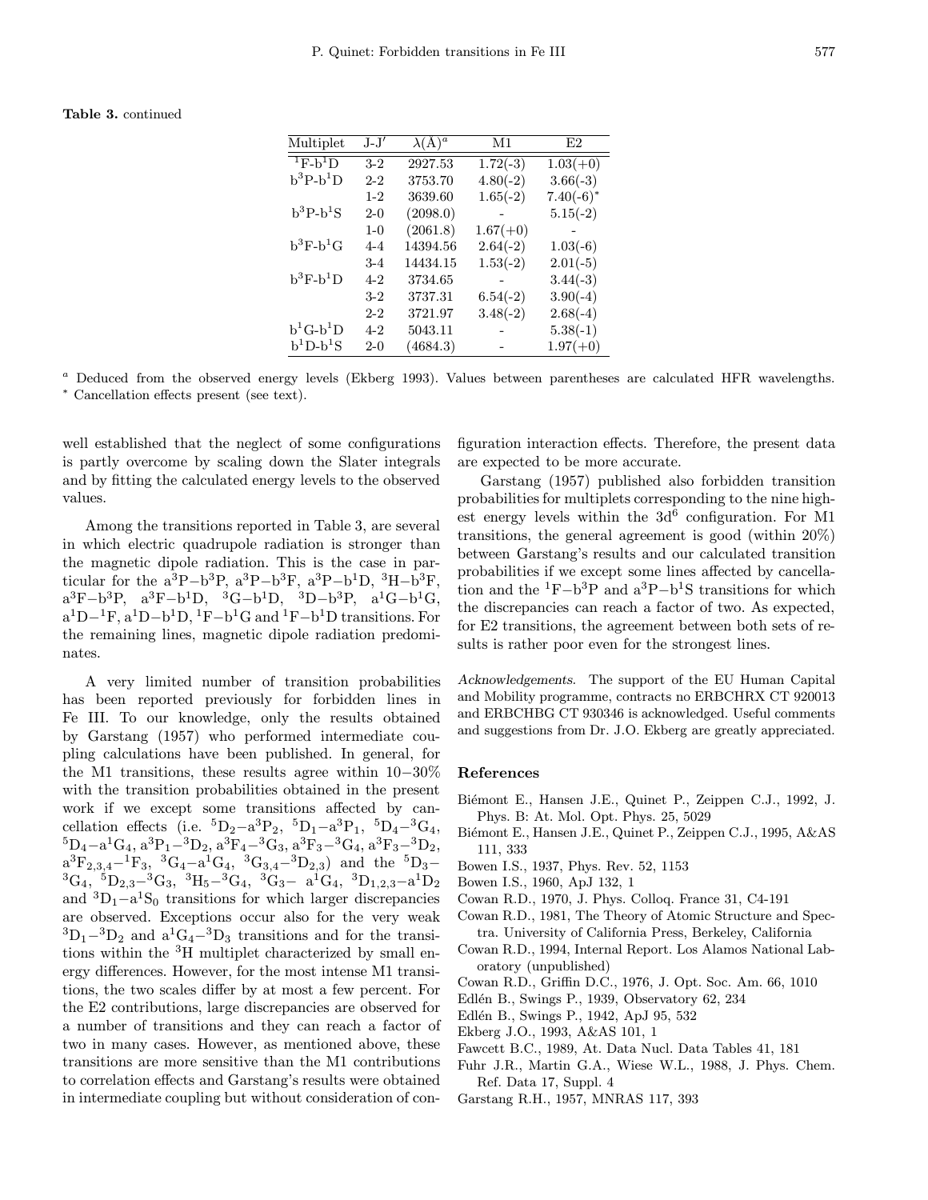### Table 3. continued

| Multiplet              | $J-J'$  | $\lambda(\AA)^a$ | M1         | E2           |
|------------------------|---------|------------------|------------|--------------|
| $T_{\text{F-b}}$ D     | $3-2$   | 2927.53          | $1.72(-3)$ | $1.03(+0)$   |
| $b^3P-b^1D$            | $2 - 2$ | 3753.70          | $4.80(-2)$ | $3.66(-3)$   |
|                        | $1 - 2$ | 3639.60          | $1.65(-2)$ | $7.40(-6)^*$ |
| $\rm b^3P\text{-}b^1S$ | $2-0$   | (2098.0)         |            | $5.15(-2)$   |
|                        | $1 - 0$ | (2061.8)         | $1.67(+0)$ |              |
| $b^3F-b^1G$            | $4 - 4$ | 14394.56         | $2.64(-2)$ | $1.03(-6)$   |
|                        | $3 - 4$ | 14434.15         | $1.53(-2)$ | $2.01(-5)$   |
| $b^3F-b^1D$            | $4 - 2$ | 3734.65          |            | $3.44(-3)$   |
|                        | $3-2$   | 3737.31          | $6.54(-2)$ | $3.90(-4)$   |
|                        | $2 - 2$ | 3721.97          | $3.48(-2)$ | $2.68(-4)$   |
| $b^1G-b^1D$            | $4 - 2$ | 5043.11          |            | $5.38(-1)$   |
| $b^1D-b^1S$            | $2 - 0$ | (4684.3)         |            | $1.97(+0)$   |

<sup>a</sup> Deduced from the observed energy levels (Ekberg 1993). Values between parentheses are calculated HFR wavelengths. <sup>∗</sup> Cancellation effects present (see text).

well established that the neglect of some configurations is partly overcome by scaling down the Slater integrals and by fitting the calculated energy levels to the observed values.

Among the transitions reported in Table 3, are several in which electric quadrupole radiation is stronger than the magnetic dipole radiation. This is the case in particular for the  $a^{3}P-b^{3}P$ ,  $a^{3}P-b^{3}F$ ,  $a^{3}P-b^{1}D$ ,  $^{3}H-b^{3}F$ .  $a^3F-b^3P$ ,  $a^3F-b^1D$ ,  ${}^3G-b^1D$ ,  ${}^3D-b^3P$ ,  $a^1G-b^1G$ .  $a^1D-1F$ ,  $a^1D-b^1D$ ,  $^1F-b^1G$  and  $^1F-b^1D$  transitions. For the remaining lines, magnetic dipole radiation predominates.

A very limited number of transition probabilities has been reported previously for forbidden lines in Fe III. To our knowledge, only the results obtained by Garstang (1957) who performed intermediate coupling calculations have been published. In general, for the M1 transitions, these results agree within 10−30% with the transition probabilities obtained in the present work if we except some transitions affected by cancellation effects (i.e.  ${}^{5}D_{2}-a^{3}P_{2}$ ,  ${}^{5}D_{1}-a^{3}P_{1}$ ,  ${}^{5}D_{4}-{}^{3}G_{4}$ ,<br> ${}^{5}D_{4}-a^{1}G_{4}$ ,  $a^{3}P_{1}-{}^{3}D_{2}$ ,  $a^{3}F_{4}-{}^{3}G_{3}$ ,  $a^{3}F_{3}-{}^{3}G_{4}$ ,  $a^{3}F_{3}-{}^{3}D_{2}$ ,  $a^3F_{2,3,4}-1F_3$ ,  ${}^3G_4-a^1G_4$ ,  ${}^3G_{3,4}-{}^3D_{2,3}$ ) and the  ${}^5D_3-{}^3G_4$ ,  ${}^5D_{2,3}-{}^3G_3$ ,  ${}^3H_5-{}^3G_4$ ,  ${}^3G_3 a^1G_4$ ,  ${}^3D_{1,2,3}-a^1D_2$ and  ${}^{3}D_{1}-a{}^{1}S_{0}$  transitions for which larger discrepancies are observed. Exceptions occur also for the very weak  ${}^{3}D_{1}$ -3D<sub>2</sub> and  $a^{1}G_{4}$ -3D<sub>3</sub> transitions and for the transitions within the <sup>3</sup>H multiplet characterized by small energy differences. However, for the most intense M1 transitions, the two scales differ by at most a few percent. For the E2 contributions, large discrepancies are observed for a number of transitions and they can reach a factor of two in many cases. However, as mentioned above, these transitions are more sensitive than the M1 contributions to correlation effects and Garstang's results were obtained in intermediate coupling but without consideration of configuration interaction effects. Therefore, the present data are expected to be more accurate.

Garstang (1957) published also forbidden transition probabilities for multiplets corresponding to the nine highest energy levels within the  $3d^6$  configuration. For M1 transitions, the general agreement is good (within 20%) between Garstang's results and our calculated transition probabilities if we except some lines affected by cancellation and the  ${}^{1}F-b{}^{3}P$  and  $a{}^{3}P-b{}^{1}S$  transitions for which the discrepancies can reach a factor of two. As expected, for E2 transitions, the agreement between both sets of results is rather poor even for the strongest lines.

Acknowledgements. The support of the EU Human Capital and Mobility programme, contracts no ERBCHRX CT 920013 and ERBCHBG CT 930346 is acknowledged. Useful comments and suggestions from Dr. J.O. Ekberg are greatly appreciated.

#### References

- Biémont E., Hansen J.E., Quinet P., Zeippen C.J., 1992, J. Phys. B: At. Mol. Opt. Phys. 25, 5029
- Biémont E., Hansen J.E., Quinet P., Zeippen C.J., 1995, A&AS 111, 333
- Bowen I.S., 1937, Phys. Rev. 52, 1153
- Bowen I.S., 1960, ApJ 132, 1
- Cowan R.D., 1970, J. Phys. Colloq. France 31, C4-191
- Cowan R.D., 1981, The Theory of Atomic Structure and Spectra. University of California Press, Berkeley, California
- Cowan R.D., 1994, Internal Report. Los Alamos National Laboratory (unpublished)
- Cowan R.D., Griffin D.C., 1976, J. Opt. Soc. Am. 66, 1010
- Edlén B., Swings P., 1939, Observatory 62, 234
- Edlén B., Swings P., 1942, ApJ 95, 532
- Ekberg J.O., 1993, A&AS 101, 1
- Fawcett B.C., 1989, At. Data Nucl. Data Tables 41, 181
- Fuhr J.R., Martin G.A., Wiese W.L., 1988, J. Phys. Chem. Ref. Data 17, Suppl. 4
- Garstang R.H., 1957, MNRAS 117, 393